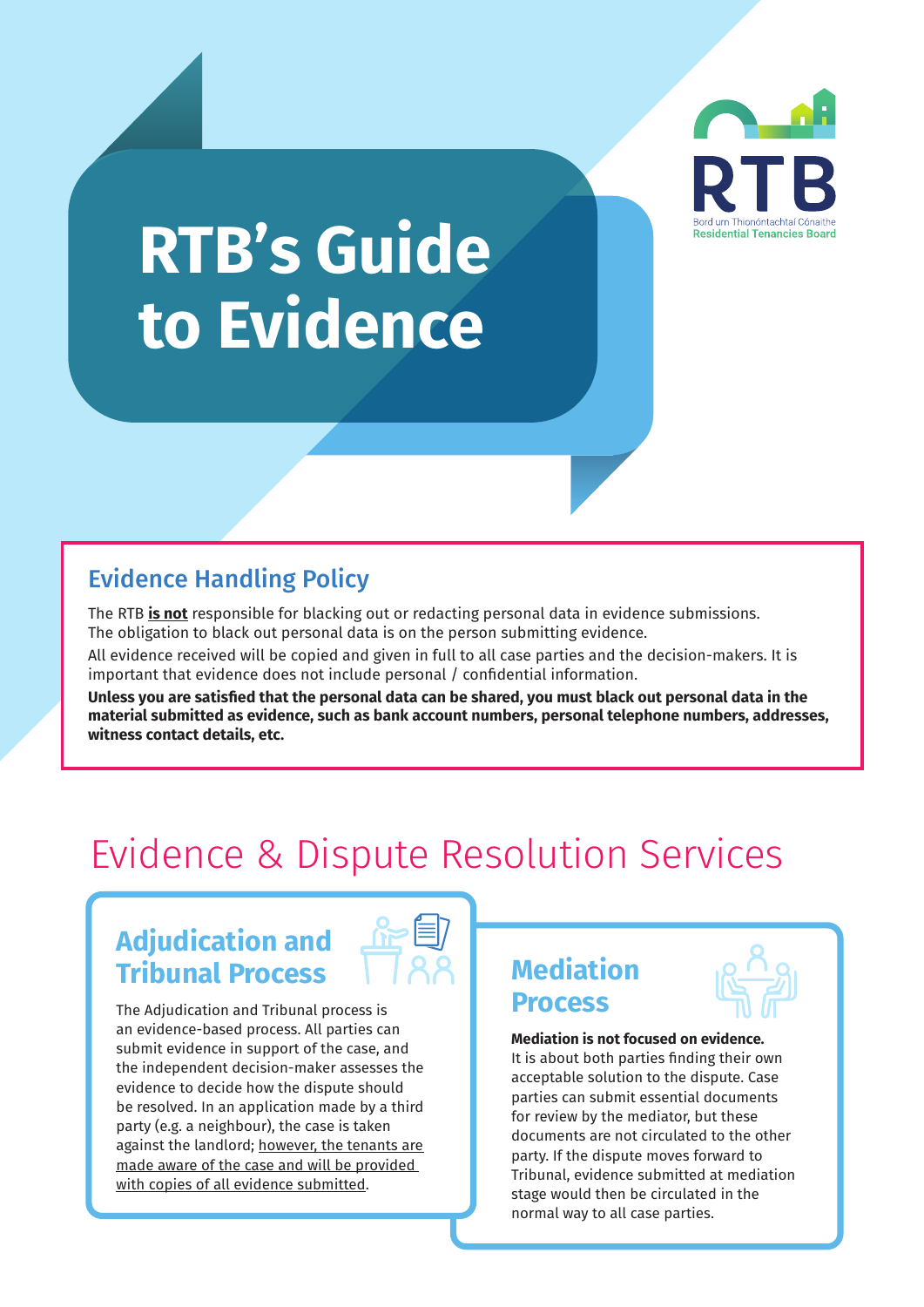

# **RTB's Guide to Evidence**

# Evidence Handling Policy

The RTB **is not** responsible for blacking out or redacting personal data in evidence submissions. The obligation to black out personal data is on the person submitting evidence.

All evidence received will be copied and given in full to all case parties and the decision-makers. It is important that evidence does not include personal / confidential information.

**Unless you are satisfied that the personal data can be shared, you must black out personal data in the material submitted as evidence, such as bank account numbers, personal telephone numbers, addresses, witness contact details, etc.** 

# Evidence & Dispute Resolution Services

# **Adjudication and Tribunal Process 1788 | Mediation**



The Adjudication and Tribunal process is **Process** an evidence-based process. All parties can submit evidence in support of the case, and the independent decision-maker assesses the evidence to decide how the dispute should be resolved. In an application made by a third party (e.g. a neighbour), the case is taken against the landlord; however, the tenants are made aware of the case and will be provided with copies of all evidence submitted.



#### **Mediation is not focused on evidence.**  It is about both parties finding their own acceptable solution to the dispute. Case

parties can submit essential documents for review by the mediator, but these documents are not circulated to the other party. If the dispute moves forward to Tribunal, evidence submitted at mediation stage would then be circulated in the normal way to all case parties.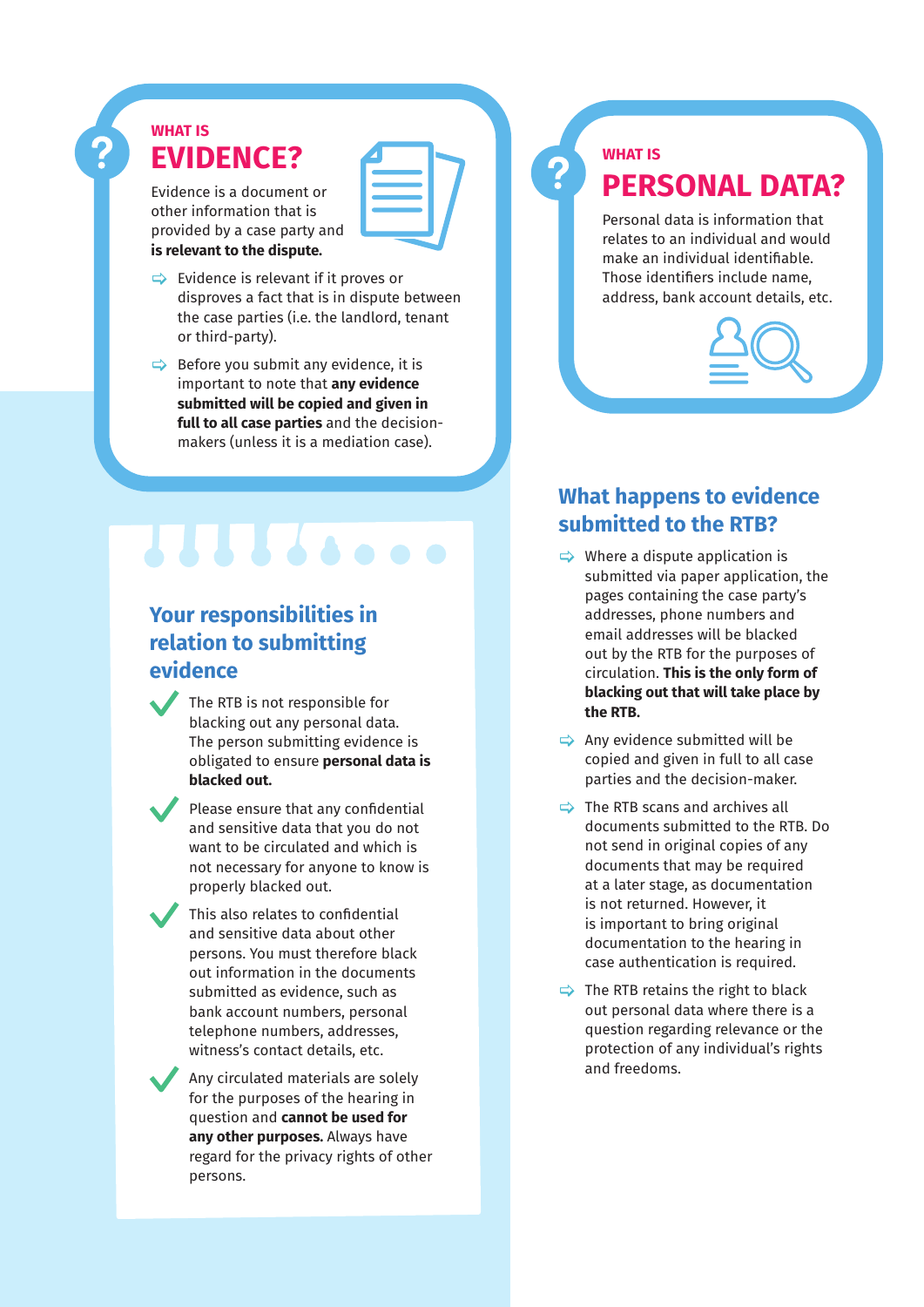# **WHAT IS EVIDENCE?**

Evidence is a document or other information that is provided by a case party and **is relevant to the dispute.** 

- $\Rightarrow$  Evidence is relevant if it proves or disproves a fact that is in dispute between the case parties (i.e. the landlord, tenant or third-party).
- $\Rightarrow$  Before you submit any evidence, it is important to note that **any evidence submitted will be copied and given in full to all case parties** and the decisionmakers (unless it is a mediation case).

# **Your responsibilities in relation to submitting evidence**

**THEFA.** 

The RTB is not responsible for blacking out any personal data. The person submitting evidence is obligated to ensure **personal data is blacked out.**

Please ensure that any confidential and sensitive data that you do not want to be circulated and which is not necessary for anyone to know is properly blacked out.

This also relates to confidential and sensitive data about other persons. You must therefore black out information in the documents submitted as evidence, such as bank account numbers, personal telephone numbers, addresses, witness's contact details, etc.

Any circulated materials are solely for the purposes of the hearing in question and **cannot be used for any other purposes.** Always have regard for the privacy rights of other persons.

# **WHAT IS PERSONAL DATA?**

Personal data is information that relates to an individual and would make an individual identifiable. Those identifiers include name, address, bank account details, etc.



# **What happens to evidence submitted to the RTB?**

- $\Rightarrow$  Where a dispute application is submitted via paper application, the pages containing the case party's addresses, phone numbers and email addresses will be blacked out by the RTB for the purposes of circulation. **This is the only form of blacking out that will take place by the RTB.**
- $\Rightarrow$  Any evidence submitted will be copied and given in full to all case parties and the decision-maker.
- $\Rightarrow$  The RTB scans and archives all documents submitted to the RTB. Do not send in original copies of any documents that may be required at a later stage, as documentation is not returned. However, it is important to bring original documentation to the hearing in case authentication is required.
- $\Rightarrow$  The RTB retains the right to black out personal data where there is a question regarding relevance or the protection of any individual's rights and freedoms.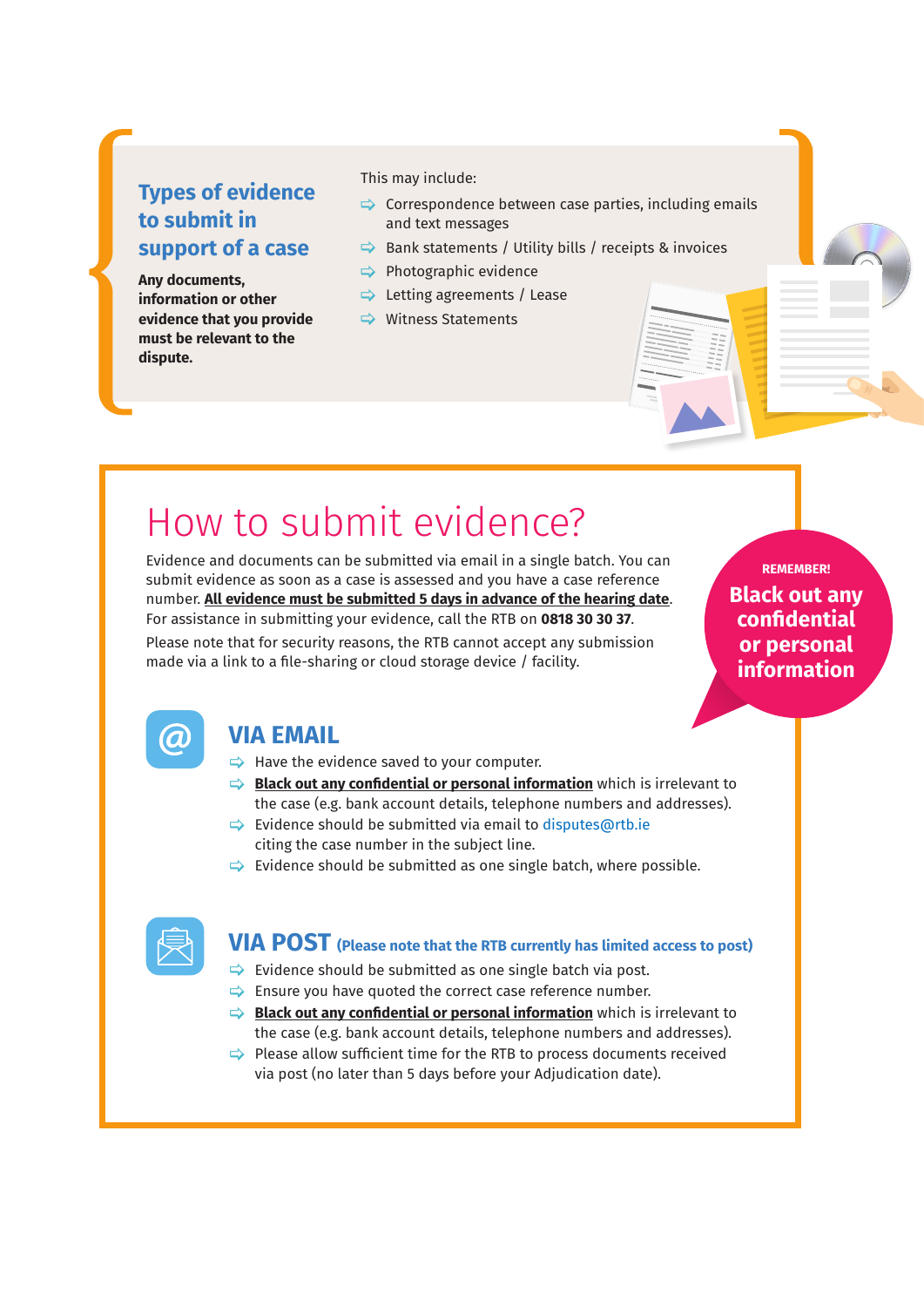# **Types of evidence to submit in support of a case**

**Any documents, information or other evidence that you provide must be relevant to the dispute.** 

This may include:

- $\Rightarrow$  Correspondence between case parties, including emails and text messages
- $\Rightarrow$  Bank statements / Utility bills / receipts & invoices
- $\Rightarrow$  Photographic evidence
- $\Rightarrow$  Letting agreements / Lease
- $\Rightarrow$  Witness Statements

# How to submit evidence?

Evidence and documents can be submitted via email in a single batch. You can submit evidence as soon as a case is assessed and you have a case reference number. **All evidence must be submitted 5 days in advance of the hearing date**. For assistance in submitting your evidence, call the RTB on **0818 30 30 37**.

Please note that for security reasons, the RTB cannot accept any submission made via a link to a file-sharing or cloud storage device / facility.

**Black out any confidential or personal information REMEMBER!**



## **VIA EMAIL**

- $\Rightarrow$  Have the evidence saved to your computer.
- [ **Black out any confidential or personal information** which is irrelevant to the case (e.g. bank account details, telephone numbers and addresses).
- $\Rightarrow$  Evidence should be submitted via email to disputes@rtb.ie citing the case number in the subject line.
- $\Rightarrow$  Evidence should be submitted as one single batch, where possible.



# **VIA POST (Please note that the RTB currently has limited access to post)**

- $\Rightarrow$  Evidence should be submitted as one single batch via post.
- $\Rightarrow$  Ensure you have quoted the correct case reference number.
- $\Rightarrow$  **Black out any confidential or personal information** which is irrelevant to the case (e.g. bank account details, telephone numbers and addresses).
- $\Rightarrow$  Please allow sufficient time for the RTB to process documents received via post (no later than 5 days before your Adjudication date).